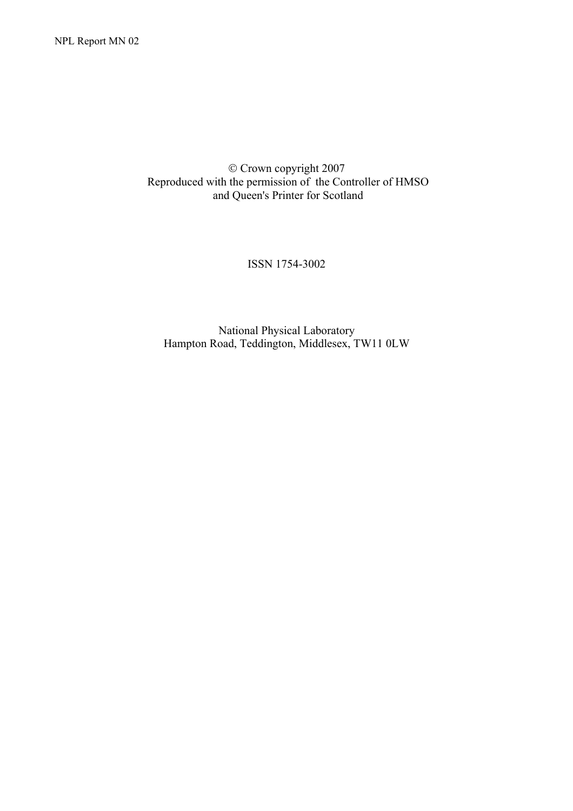Crown copyright 2007 Reproduced with the permission of the Controller of HMSO and Queen's Printer for Scotland

## ISSN 1754-3002

National Physical Laboratory Hampton Road, Teddington, Middlesex, TW11 0LW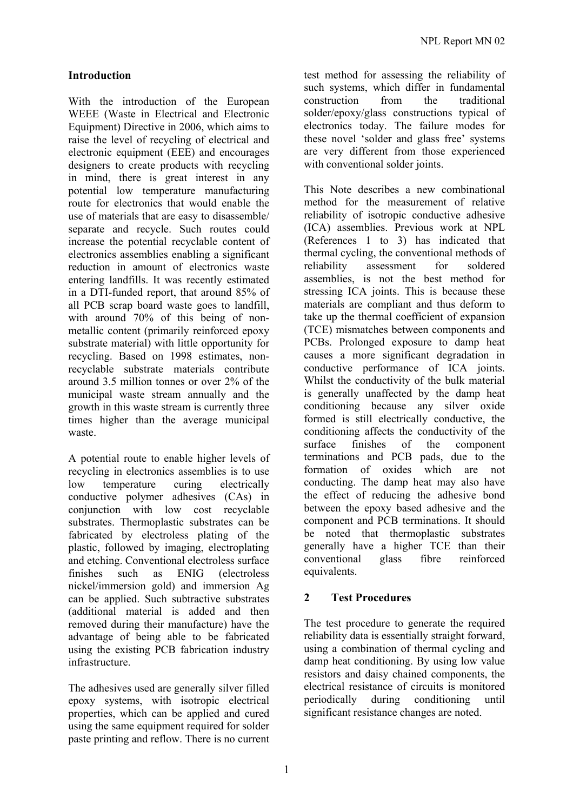## **Introduction**

With the introduction of the European WEEE (Waste in Electrical and Electronic Equipment) Directive in 2006, which aims to raise the level of recycling of electrical and electronic equipment (EEE) and encourages designers to create products with recycling in mind, there is great interest in any potential low temperature manufacturing route for electronics that would enable the use of materials that are easy to disassemble/ separate and recycle. Such routes could increase the potential recyclable content of electronics assemblies enabling a significant reduction in amount of electronics waste entering landfills. It was recently estimated in a DTI-funded report, that around 85% of all PCB scrap board waste goes to landfill, with around 70% of this being of nonmetallic content (primarily reinforced epoxy substrate material) with little opportunity for recycling. Based on 1998 estimates, nonrecyclable substrate materials contribute around 3.5 million tonnes or over 2% of the municipal waste stream annually and the growth in this waste stream is currently three times higher than the average municipal waste.

A potential route to enable higher levels of recycling in electronics assemblies is to use low temperature curing electrically conductive polymer adhesives (CAs) in conjunction with low cost recyclable substrates. Thermoplastic substrates can be fabricated by electroless plating of the plastic, followed by imaging, electroplating and etching. Conventional electroless surface finishes such as ENIG (electroless nickel/immersion gold) and immersion Ag can be applied. Such subtractive substrates (additional material is added and then removed during their manufacture) have the advantage of being able to be fabricated using the existing PCB fabrication industry infrastructure.

The adhesives used are generally silver filled epoxy systems, with isotropic electrical properties, which can be applied and cured using the same equipment required for solder paste printing and reflow. There is no current

test method for assessing the reliability of such systems, which differ in fundamental construction from the traditional solder/epoxy/glass constructions typical of electronics today. The failure modes for these novel 'solder and glass free' systems are very different from those experienced with conventional solder joints.

This Note describes a new combinational method for the measurement of relative reliability of isotropic conductive adhesive (ICA) assemblies. Previous work at NPL (References 1 to 3) has indicated that thermal cycling, the conventional methods of reliability assessment for soldered assemblies, is not the best method for stressing ICA joints. This is because these materials are compliant and thus deform to take up the thermal coefficient of expansion (TCE) mismatches between components and PCBs. Prolonged exposure to damp heat causes a more significant degradation in conductive performance of ICA joints. Whilst the conductivity of the bulk material is generally unaffected by the damp heat conditioning because any silver oxide formed is still electrically conductive, the conditioning affects the conductivity of the surface finishes of the component terminations and PCB pads, due to the formation of oxides which are not conducting. The damp heat may also have the effect of reducing the adhesive bond between the epoxy based adhesive and the component and PCB terminations. It should be noted that thermoplastic substrates generally have a higher TCE than their conventional glass fibre reinforced equivalents.

# **2 Test Procedures**

The test procedure to generate the required reliability data is essentially straight forward, using a combination of thermal cycling and damp heat conditioning. By using low value resistors and daisy chained components, the electrical resistance of circuits is monitored periodically during conditioning until significant resistance changes are noted.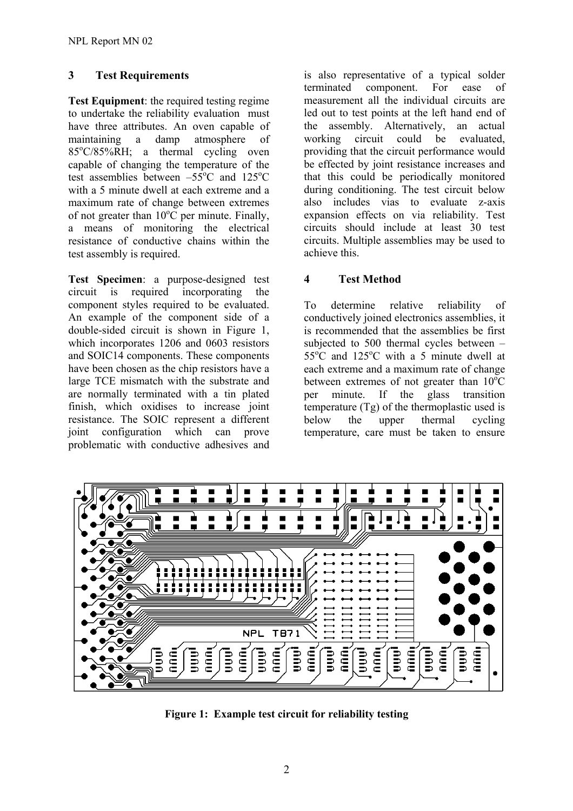**Test Equipment**: the required testing regime to undertake the reliability evaluation must have three attributes. An oven capable of maintaining a damp atmosphere of 85°C/85%RH; a thermal cycling oven capable of changing the temperature of the test assemblies between  $-55^{\circ}$ C and  $125^{\circ}$ C with a 5 minute dwell at each extreme and a maximum rate of change between extremes of not greater than  $10^{\circ}$ C per minute. Finally, a means of monitoring the electrical resistance of conductive chains within the test assembly is required.

**Test Specimen**: a purpose-designed test **4 Test Method**  circuit is required incorporating the component styles required to be evaluated. An example of the component side of a double-sided circuit is shown in Figure 1, which incorporates 1206 and 0603 resistors and SOIC14 components. These components have been chosen as the chip resistors have a large TCE mismatch with the substrate and are normally terminated with a tin plated finish, which oxidises to increase joint resistance. The SOIC represent a different joint configuration which can prove problematic with conductive adhesives and

**3 Test Requirements** is also representative of a typical solder terminated component. For ease of measurement all the individual circuits are led out to test points at the left hand end of the assembly. Alternatively, an actual working circuit could be evaluated, providing that the circuit performance would be effected by joint resistance increases and that this could be periodically monitored during conditioning. The test circuit below also includes vias to evaluate z-axis expansion effects on via reliability. Test circuits should include at least 30 test circuits. Multiple assemblies may be used to achieve this.

To determine relative reliability of conductively joined electronics assemblies, it is recommended that the assemblies be first subjected to 500 thermal cycles between –  $55^{\circ}$ C and  $125^{\circ}$ C with a 5 minute dwell at each extreme and a maximum rate of change between extremes of not greater than  $10^{\circ}$ C per minute. If the glass transition temperature (Tg) of the thermoplastic used is below the upper thermal cycling temperature, care must be taken to ensure



**Figure 1: Example test circuit for reliability testing**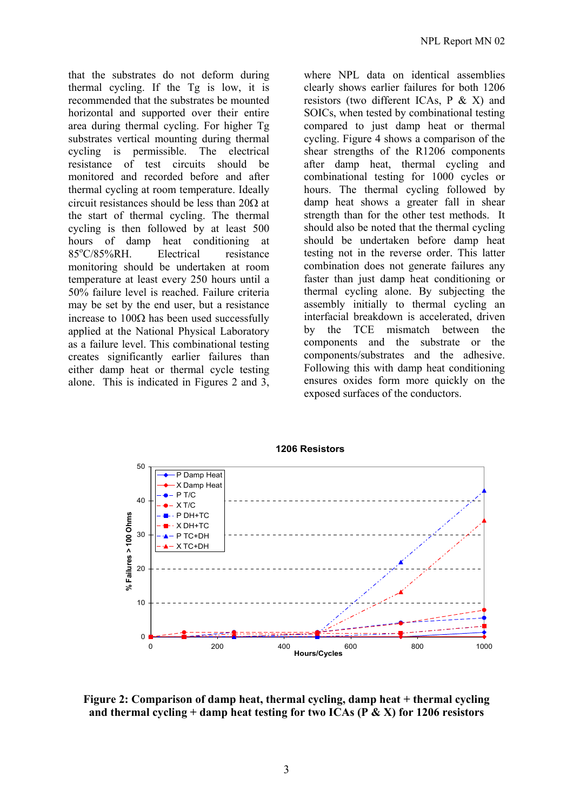that the substrates do not deform during thermal cycling. If the Tg is low, it is recommended that the substrates be mounted horizontal and supported over their entire area during thermal cycling. For higher Tg substrates vertical mounting during thermal cycling is permissible. The electrical resistance of test circuits should be monitored and recorded before and after thermal cycling at room temperature. Ideally circuit resistances should be less than  $20\Omega$  at the start of thermal cycling. The thermal cycling is then followed by at least 500 hours of damp heat conditioning at 85°C/85%RH. Electrical resistance monitoring should be undertaken at room temperature at least every 250 hours until a 50% failure level is reached. Failure criteria may be set by the end user, but a resistance increase to 100Ω has been used successfully applied at the National Physical Laboratory as a failure level. This combinational testing creates significantly earlier failures than either damp heat or thermal cycle testing alone. This is indicated in Figures 2 and 3,

where NPL data on identical assemblies clearly shows earlier failures for both 1206 resistors (two different ICAs,  $P \& X$ ) and SOICs, when tested by combinational testing compared to just damp heat or thermal cycling. Figure 4 shows a comparison of the shear strengths of the R1206 components after damp heat, thermal cycling and combinational testing for 1000 cycles or hours. The thermal cycling followed by damp heat shows a greater fall in shear strength than for the other test methods. It should also be noted that the thermal cycling should be undertaken before damp heat testing not in the reverse order. This latter combination does not generate failures any faster than just damp heat conditioning or thermal cycling alone. By subjecting the assembly initially to thermal cycling an interfacial breakdown is accelerated, driven by the TCE mismatch between the components and the substrate or the components/substrates and the adhesive. Following this with damp heat conditioning ensures oxides form more quickly on the exposed surfaces of the conductors.



### **1206 Resistors**

**Figure 2: Comparison of damp heat, thermal cycling, damp heat + thermal cycling and thermal cycling + damp heat testing for two ICAs (P & X) for 1206 resistors**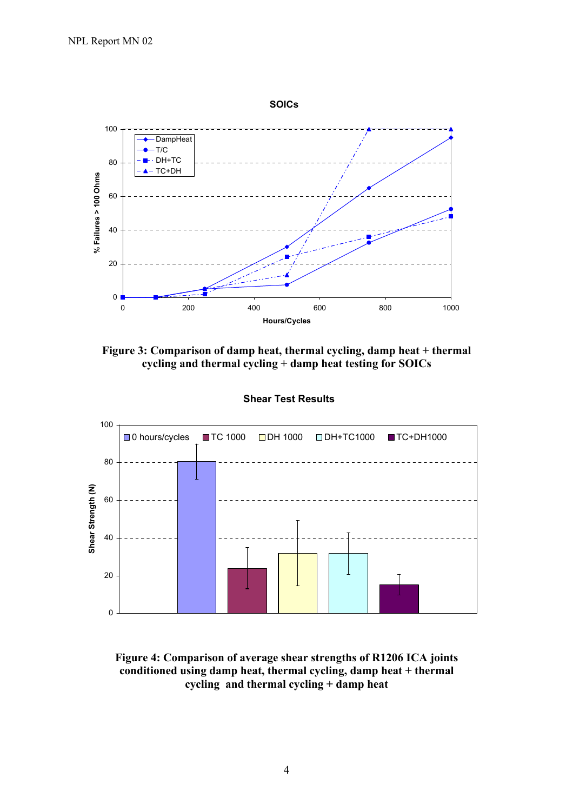

**Figure 3: Comparison of damp heat, thermal cycling, damp heat + thermal cycling and thermal cycling + damp heat testing for SOICs** 



**Shear Test Results**

**Figure 4: Comparison of average shear strengths of R1206 ICA joints conditioned using damp heat, thermal cycling, damp heat + thermal cycling and thermal cycling + damp heat**